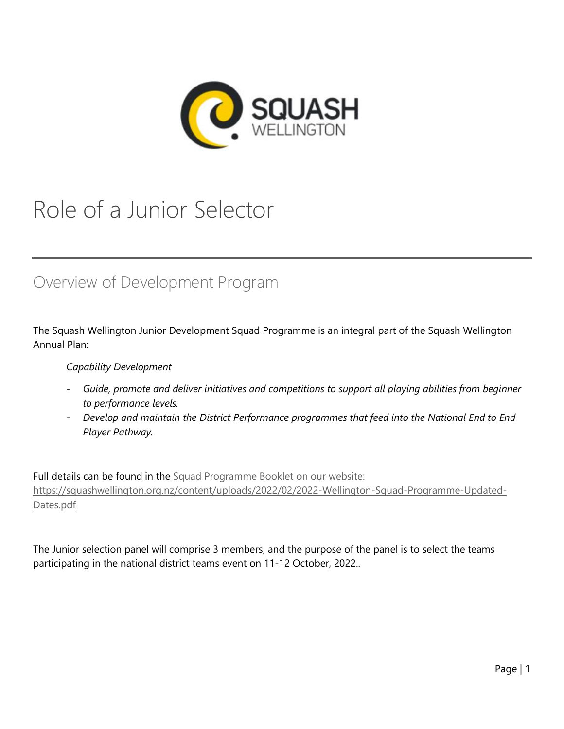

# Role of a Junior Selector

# Overview of Development Program

The Squash Wellington Junior Development Squad Programme is an integral part of the Squash Wellington Annual Plan:

### *Capability Development*

- *- Guide, promote and deliver initiatives and competitions to support all playing abilities from beginner to performance levels.*
- *- Develop and maintain the District Performance programmes that feed into the National End to End Player Pathway.*

Full details can be found in the [Squad Programme Booklet on our website:](https://squashwellington.org.nz/content/uploads/2022/02/2022-Wellington-Squad-Programme-Updated-Dates.pdf) [https://squashwellington.org.nz/content/uploads/2022/02/2022-Wellington-Squad-Programme-Updated-](https://squashwellington.org.nz/content/uploads/2022/02/2022-Wellington-Squad-Programme-Updated-Dates.pdf)[Dates.pdf](https://squashwellington.org.nz/content/uploads/2022/02/2022-Wellington-Squad-Programme-Updated-Dates.pdf)

The Junior selection panel will comprise 3 members, and the purpose of the panel is to select the teams participating in the national district teams event on 11-12 October, 2022..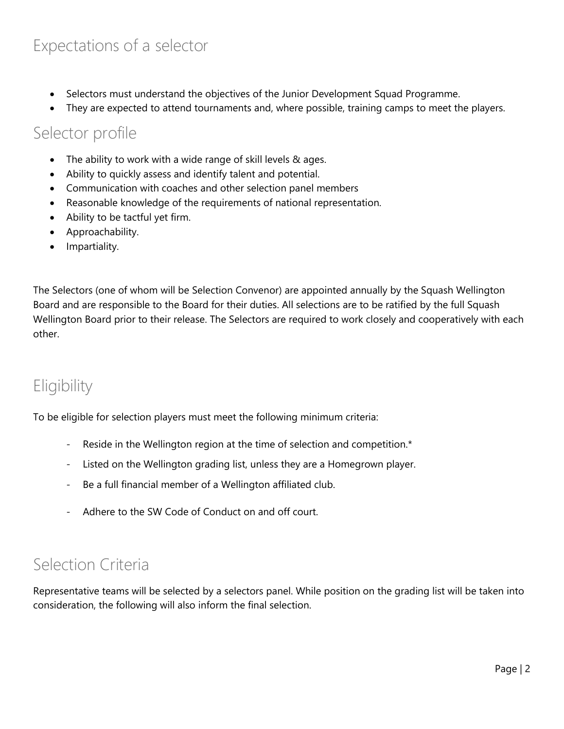# Expectations of a selector

- Selectors must understand the objectives of the Junior Development Squad Programme.
- They are expected to attend tournaments and, where possible, training camps to meet the players.

### Selector profile

- The ability to work with a wide range of skill levels & ages.
- Ability to quickly assess and identify talent and potential.
- Communication with coaches and other selection panel members
- Reasonable knowledge of the requirements of national representation.
- Ability to be tactful yet firm.
- Approachability.
- Impartiality.

The Selectors (one of whom will be Selection Convenor) are appointed annually by the Squash Wellington Board and are responsible to the Board for their duties. All selections are to be ratified by the full Squash Wellington Board prior to their release. The Selectors are required to work closely and cooperatively with each other.

# **Eligibility**

To be eligible for selection players must meet the following minimum criteria:

- Reside in the Wellington region at the time of selection and competition.<sup>\*</sup>
- *-* Listed on the Wellington grading list, unless they are a Homegrown player.
- *-* Be a full financial member of a Wellington affiliated club.
- *-* Adhere to the SW Code of Conduct on and off court.

# Selection Criteria

Representative teams will be selected by a selectors panel. While position on the grading list will be taken into consideration, the following will also inform the final selection.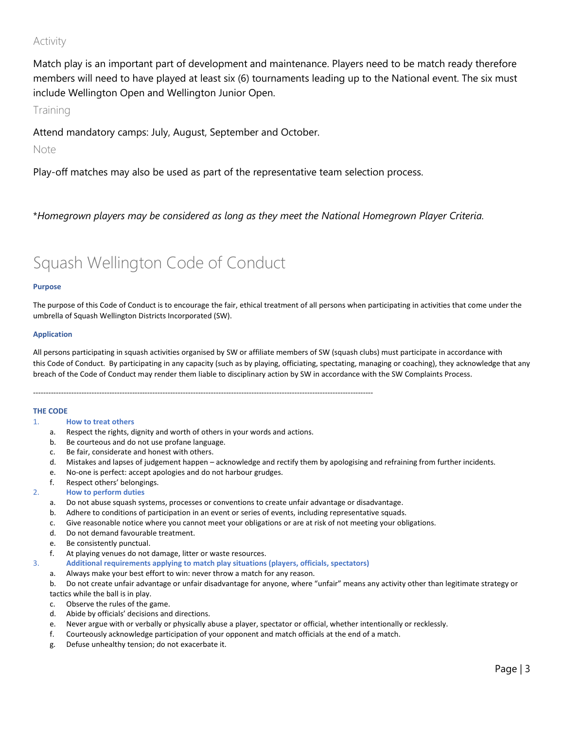### Activity

Match play is an important part of development and maintenance. Players need to be match ready therefore members will need to have played at least six (6) tournaments leading up to the National event. The six must include Wellington Open and Wellington Junior Open.

Training

Attend mandatory camps: July, August, September and October.

Note

Play-off matches may also be used as part of the representative team selection process.

\**Homegrown players may be considered as long as they meet the National Homegrown Player Criteria.*

# Squash Wellington Code of Conduct

### **Purpose**

The purpose of this Code of Conduct is to encourage the fair, ethical treatment of all persons when participating in activities that come under the umbrella of Squash Wellington Districts Incorporated (SW).

### **Application**

All persons participating in squash activities organised by SW or affiliate members of SW (squash clubs) must participate in accordance with this Code of Conduct. By participating in any capacity (such as by playing, officiating, spectating, managing or coaching), they acknowledge that any breach of the Code of Conduct may render them liable to disciplinary action by SW in accordance with the SW Complaints Process.

--------------------------------------------------------------------------------------------------------------------------------------

### **THE CODE**

### 1. **How to treat others**

- a. Respect the rights, dignity and worth of others in your words and actions.
- b. Be courteous and do not use profane language.
- c. Be fair, considerate and honest with others.
- d. Mistakes and lapses of judgement happen acknowledge and rectify them by apologising and refraining from further incidents.
- e. No-one is perfect: accept apologies and do not harbour grudges.
- f. Respect others' belongings.
- 2. **How to perform duties**
	- a. Do not abuse squash systems, processes or conventions to create unfair advantage or disadvantage.
	- b. Adhere to conditions of participation in an event or series of events, including representative squads.
	- c. Give reasonable notice where you cannot meet your obligations or are at risk of not meeting your obligations.
	- d. Do not demand favourable treatment.
	- e. Be consistently punctual.
	- f. At playing venues do not damage, litter or waste resources.
- 3. **Additional requirements applying to match play situations (players, officials, spectators)**
	- a. Always make your best effort to win: never throw a match for any reason.
	- b. Do not create unfair advantage or unfair disadvantage for anyone, where "unfair" means any activity other than legitimate strategy or
	- tactics while the ball is in play.
	- c. Observe the rules of the game.
	- d. Abide by officials' decisions and directions.
	- e. Never argue with or verbally or physically abuse a player, spectator or official, whether intentionally or recklessly.
	- f. Courteously acknowledge participation of your opponent and match officials at the end of a match.
	- g. Defuse unhealthy tension; do not exacerbate it.